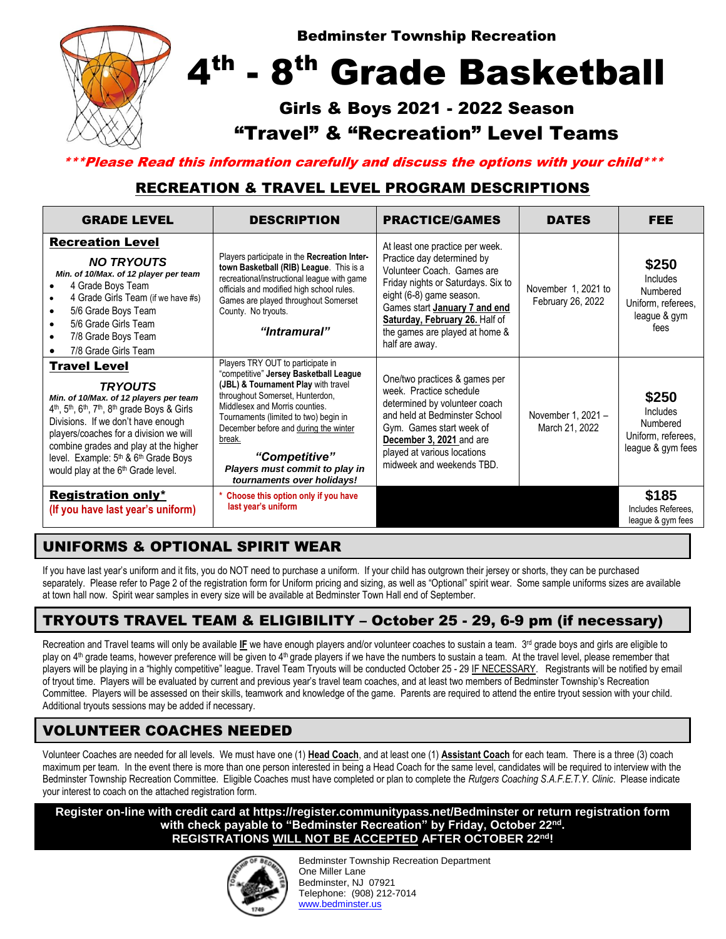

\*\*\*Please Read this information carefully and discuss the options with your child\*\*\*

## RECREATION & TRAVEL LEVEL PROGRAM DESCRIPTIONS

| <b>GRADE LEVEL</b>                                                                                                                                                                                                                                                                                                                                                                                                                                                                                                                                                                                                                                                                                                                                                                                               | <b>DESCRIPTION</b>                                                                                                                                                                                                                                                 | <b>PRACTICE/GAMES</b>                                                                                                                                                                                                                                                                | <b>DATES</b>                             | <b>FEE</b>                                                                         |
|------------------------------------------------------------------------------------------------------------------------------------------------------------------------------------------------------------------------------------------------------------------------------------------------------------------------------------------------------------------------------------------------------------------------------------------------------------------------------------------------------------------------------------------------------------------------------------------------------------------------------------------------------------------------------------------------------------------------------------------------------------------------------------------------------------------|--------------------------------------------------------------------------------------------------------------------------------------------------------------------------------------------------------------------------------------------------------------------|--------------------------------------------------------------------------------------------------------------------------------------------------------------------------------------------------------------------------------------------------------------------------------------|------------------------------------------|------------------------------------------------------------------------------------|
| <b>Recreation Level</b><br><b>NO TRYOUTS</b><br>Min. of 10/Max. of 12 player per team<br>4 Grade Boys Team<br>4 Grade Girls Team (if we have #s)<br>5/6 Grade Boys Team<br>5/6 Grade Girls Team<br>7/8 Grade Boys Team<br>7/8 Grade Girls Team                                                                                                                                                                                                                                                                                                                                                                                                                                                                                                                                                                   | Players participate in the Recreation Inter-<br>town Basketball (RIB) League. This is a<br>recreational/instructional league with game<br>officials and modified high school rules.<br>Games are played throughout Somerset<br>County. No tryouts.<br>"Intramural" | At least one practice per week.<br>Practice day determined by<br>Volunteer Coach. Games are<br>Friday nights or Saturdays. Six to<br>eight (6-8) game season.<br>Games start January 7 and end<br>Saturday, February 26. Half of<br>the games are played at home &<br>half are away. | November 1, 2021 to<br>February 26, 2022 | \$250<br><b>Includes</b><br>Numbered<br>Uniform, referees,<br>league & gym<br>fees |
| Players TRY OUT to participate in<br><b>Travel Level</b><br>"competitive" Jersey Basketball League<br>(JBL) & Tournament Play with travel<br><b>TRYOUTS</b><br>throughout Somerset, Hunterdon,<br>Min. of 10/Max. of 12 players per team<br>Middlesex and Morris counties.<br>4 <sup>th</sup> , 5 <sup>th</sup> , 6 <sup>th</sup> , 7 <sup>th</sup> , 8 <sup>th</sup> grade Boys & Girls<br>Tournaments (limited to two) begin in<br>Divisions. If we don't have enough<br>December before and during the winter<br>players/coaches for a division we will<br>break.<br>combine grades and play at the higher<br>"Competitive"<br>level. Example: 5 <sup>th</sup> & 6 <sup>th</sup> Grade Boys<br>Players must commit to play in<br>would play at the 6 <sup>th</sup> Grade level.<br>tournaments over holidays! |                                                                                                                                                                                                                                                                    | One/two practices & games per<br>week. Practice schedule<br>determined by volunteer coach<br>and held at Bedminster School<br>Gym. Games start week of<br>December 3, 2021 and are<br>played at various locations<br>midweek and weekends TBD.                                       | November 1, 2021 -<br>March 21, 2022     | \$250<br><b>Includes</b><br>Numbered<br>Uniform, referees,<br>league & gym fees    |
| <b>Registration only*</b><br>(If you have last year's uniform)                                                                                                                                                                                                                                                                                                                                                                                                                                                                                                                                                                                                                                                                                                                                                   | Choose this option only if you have<br>last year's uniform                                                                                                                                                                                                         |                                                                                                                                                                                                                                                                                      |                                          | \$185<br>Includes Referees.<br>league & gym fees                                   |

## UNIFORMS & OPTIONAL SPIRIT WEAR

If you have last year's uniform and it fits, you do NOT need to purchase a uniform. If your child has outgrown their jersey or shorts, they can be purchased separately. Please refer to Page 2 of the registration form for Uniform pricing and sizing, as well as "Optional" spirit wear. Some sample uniforms sizes are available at town hall now. Spirit wear samples in every size will be available at Bedminster Town Hall end of September.

### TRYOUTS TRAVEL TEAM & ELIGIBILITY – October 25 - 29, 6-9 pm (if necessary)

Recreation and Travel teams will only be available IE we have enough players and/or volunteer coaches to sustain a team. 3<sup>rd</sup> grade boys and girls are eligible to play on 4<sup>th</sup> grade teams, however preference will be given to 4<sup>th</sup> grade players if we have the numbers to sustain a team. At the travel level, please remember that players will be playing in a "highly competitive" league. Travel Team Tryouts will be conducted October 25 - 29 IF NECESSARY. Registrants will be notified by email of tryout time. Players will be evaluated by current and previous year's travel team coaches, and at least two members of Bedminster Township's Recreation Committee. Players will be assessed on their skills, teamwork and knowledge of the game. Parents are required to attend the entire tryout session with your child. Additional tryouts sessions may be added if necessary.

### VOLUNTEER COACHES NEEDED

Volunteer Coaches are needed for all levels. We must have one (1) **Head Coach**, and at least one (1) **Assistant Coach** for each team. There is a three (3) coach maximum per team. In the event there is more than one person interested in being a Head Coach for the same level, candidates will be required to interview with the Bedminster Township Recreation Committee. Eligible Coaches must have completed or plan to complete the *Rutgers Coaching S.A.F.E.T.Y. Clinic*. Please indicate your interest to coach on the attached registration form.

**Register on-line with credit card at https://register.communitypass.net/Bedminster or return registration form with check payable to "Bedminster Recreation" by Friday, October 22nd . REGISTRATIONS WILL NOT BE ACCEPTED AFTER OCTOBER 22nd!** 



Bedminster Township Recreation Department One Miller Lane Bedminster, NJ 07921 Telephone: (908) 212-7014 [www.bedminster.us](http://www.bedminster.us/)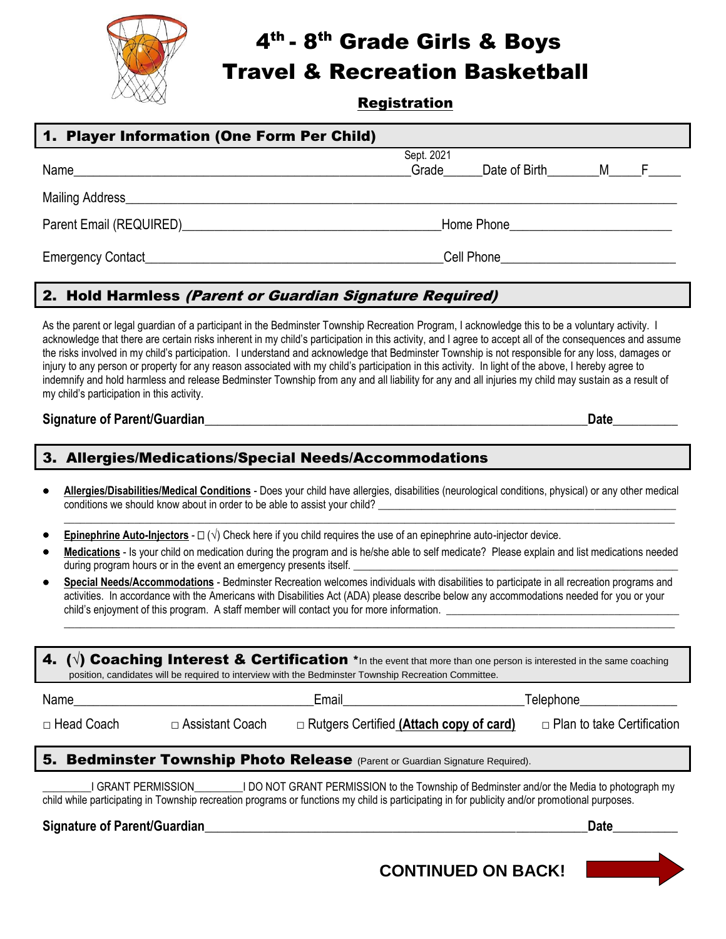

# 4<sup>th</sup> - 8<sup>th</sup> Grade Girls & Boys

Travel & Recreation Basketball

#### **Registration**

| 1. Player Information (One Form Per Child)                                                                                                                                                                                                                                                                                                                                                                                                                                                                                                                                                                                                                                                                                                                                                                                    |                                                                                           |                                                  |                  |                                   |  |  |
|-------------------------------------------------------------------------------------------------------------------------------------------------------------------------------------------------------------------------------------------------------------------------------------------------------------------------------------------------------------------------------------------------------------------------------------------------------------------------------------------------------------------------------------------------------------------------------------------------------------------------------------------------------------------------------------------------------------------------------------------------------------------------------------------------------------------------------|-------------------------------------------------------------------------------------------|--------------------------------------------------|------------------|-----------------------------------|--|--|
|                                                                                                                                                                                                                                                                                                                                                                                                                                                                                                                                                                                                                                                                                                                                                                                                                               | Sept. 2021                                                                                | Crade ______Date of Birth_________M______F______ |                  |                                   |  |  |
|                                                                                                                                                                                                                                                                                                                                                                                                                                                                                                                                                                                                                                                                                                                                                                                                                               |                                                                                           |                                                  |                  |                                   |  |  |
|                                                                                                                                                                                                                                                                                                                                                                                                                                                                                                                                                                                                                                                                                                                                                                                                                               |                                                                                           |                                                  |                  |                                   |  |  |
|                                                                                                                                                                                                                                                                                                                                                                                                                                                                                                                                                                                                                                                                                                                                                                                                                               |                                                                                           |                                                  |                  |                                   |  |  |
|                                                                                                                                                                                                                                                                                                                                                                                                                                                                                                                                                                                                                                                                                                                                                                                                                               | 2. Hold Harmless (Parent or Guardian Signature Required)                                  |                                                  |                  |                                   |  |  |
| As the parent or legal guardian of a participant in the Bedminster Township Recreation Program, I acknowledge this to be a voluntary activity. I<br>acknowledge that there are certain risks inherent in my child's participation in this activity, and I agree to accept all of the consequences and assume<br>the risks involved in my child's participation. I understand and acknowledge that Bedminster Township is not responsible for any loss, damages or<br>injury to any person or property for any reason associated with my child's participation in this activity. In light of the above, I hereby agree to<br>indemnify and hold harmless and release Bedminster Township from any and all liability for any and all injuries my child may sustain as a result of<br>my child's participation in this activity. |                                                                                           |                                                  |                  |                                   |  |  |
| Signature of Parent/Guardian                                                                                                                                                                                                                                                                                                                                                                                                                                                                                                                                                                                                                                                                                                                                                                                                  |                                                                                           |                                                  | <b>Date Date</b> |                                   |  |  |
| 3. Allergies/Medications/Special Needs/Accommodations                                                                                                                                                                                                                                                                                                                                                                                                                                                                                                                                                                                                                                                                                                                                                                         |                                                                                           |                                                  |                  |                                   |  |  |
| Allergies/Disabilities/Medical Conditions - Does your child have allergies, disabilities (neurological conditions, physical) or any other medical                                                                                                                                                                                                                                                                                                                                                                                                                                                                                                                                                                                                                                                                             |                                                                                           |                                                  |                  |                                   |  |  |
| <b>Epinephrine Auto-Injectors</b> - $\square$ ( $\sqrt{ }$ ) Check here if you child requires the use of an epinephrine auto-injector device.                                                                                                                                                                                                                                                                                                                                                                                                                                                                                                                                                                                                                                                                                 |                                                                                           |                                                  |                  |                                   |  |  |
| Medications - Is your child on medication during the program and is he/she able to self medicate? Please explain and list medications needed<br>during program hours or in the event an emergency presents itself.                                                                                                                                                                                                                                                                                                                                                                                                                                                                                                                                                                                                            |                                                                                           |                                                  |                  |                                   |  |  |
| Special Needs/Accommodations - Bedminster Recreation welcomes individuals with disabilities to participate in all recreation programs and<br>٠<br>activities. In accordance with the Americans with Disabilities Act (ADA) please describe below any accommodations needed for you or your<br>child's enjoyment of this program. A staff member will contact you for more information.                                                                                                                                                                                                                                                                                                                                                                                                                                        |                                                                                           |                                                  |                  |                                   |  |  |
| $(\vee)$ Coaching Interest & Certification $*$ In the event that more than one person is interested in the same coaching<br>position, candidates will be required to interview with the Bedminster Township Recreation Committee.                                                                                                                                                                                                                                                                                                                                                                                                                                                                                                                                                                                             |                                                                                           |                                                  |                  |                                   |  |  |
| Name                                                                                                                                                                                                                                                                                                                                                                                                                                                                                                                                                                                                                                                                                                                                                                                                                          | Email                                                                                     | Telephone <sub>-</sub>                           |                  |                                   |  |  |
| □ Assistant Coach<br>□ Head Coach                                                                                                                                                                                                                                                                                                                                                                                                                                                                                                                                                                                                                                                                                                                                                                                             | □ Rutgers Certified (Attach copy of card)                                                 |                                                  |                  | $\Box$ Plan to take Certification |  |  |
| 5. Bedminster Township Photo Release (Parent or Guardian Signature Required).                                                                                                                                                                                                                                                                                                                                                                                                                                                                                                                                                                                                                                                                                                                                                 |                                                                                           |                                                  |                  |                                   |  |  |
| I GRANT PERMISSION<br>child while participating in Township recreation programs or functions my child is participating in for publicity and/or promotional purposes.                                                                                                                                                                                                                                                                                                                                                                                                                                                                                                                                                                                                                                                          | I DO NOT GRANT PERMISSION to the Township of Bedminster and/or the Media to photograph my |                                                  |                  |                                   |  |  |
| <b>Signature of Parent/Guardian</b>                                                                                                                                                                                                                                                                                                                                                                                                                                                                                                                                                                                                                                                                                                                                                                                           |                                                                                           |                                                  | <b>Date</b>      |                                   |  |  |

 **CONTINUED ON BACK!**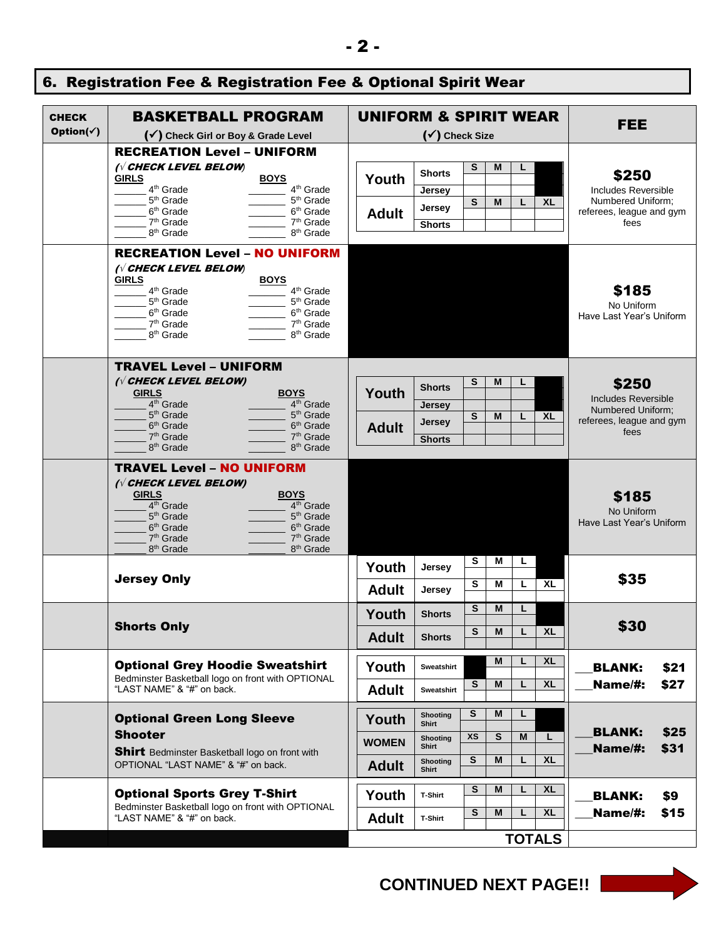|  | 6. Registration Fee & Registration Fee & Optional Spirit Wear |
|--|---------------------------------------------------------------|
|  |                                                               |

| <b>CHECK</b>           | <b>BASKETBALL PROGRAM</b>                                                                | <b>UNIFORM &amp; SPIRIT WEAR</b> |                          |                |         |               | <b>FEE</b>                                    |      |
|------------------------|------------------------------------------------------------------------------------------|----------------------------------|--------------------------|----------------|---------|---------------|-----------------------------------------------|------|
| Option( $\checkmark$ ) | (√) Check Girl or Boy & Grade Level                                                      | (√) Check Size                   |                          |                |         |               |                                               |      |
|                        | <b>RECREATION Level - UNIFORM</b>                                                        |                                  |                          |                |         |               |                                               |      |
|                        | <b>IV CHECK LEVEL BELOW</b><br><b>GIRLS</b><br><b>BOYS</b>                               | Youth                            | <b>Shorts</b>            | S              | M       |               | \$250                                         |      |
|                        | 4 <sup>th</sup> Grade<br>4 <sup>th</sup> Grade<br>5 <sup>th</sup> Grade<br>$5th$ Grade   |                                  | Jersey                   |                |         |               | Includes Reversible                           |      |
|                        | 6 <sup>th</sup> Grade<br>6 <sup>th</sup> Grade                                           | <b>Adult</b>                     | Jersey                   | S              | м<br>L  | <b>XL</b>     | Numbered Uniform;<br>referees, league and gym |      |
|                        | 7 <sup>th</sup> Grade<br>7 <sup>th</sup> Grade                                           |                                  | <b>Shorts</b>            |                |         |               | fees                                          |      |
|                        | 8 <sup>th</sup> Grade<br>8 <sup>th</sup> Grade                                           |                                  |                          |                |         |               |                                               |      |
|                        | <b>RECREATION Level - NO UNIFORM</b>                                                     |                                  |                          |                |         |               |                                               |      |
|                        | ( $\sqrt{}$ CHECK LEVEL BELOW)                                                           |                                  |                          |                |         |               |                                               |      |
|                        | GIRLS<br><b>BOYS</b><br>$4^{\text{th}}$ Grade<br>$4^{\text{th}}$ Grade                   |                                  |                          |                |         |               | \$185                                         |      |
|                        | 5 <sup>th</sup> Grade<br>$5th$ Grade                                                     |                                  |                          |                |         |               | No Uniform                                    |      |
|                        | 6 <sup>th</sup> Grade<br>6 <sup>th</sup> Grade                                           |                                  |                          |                |         |               | Have Last Year's Uniform                      |      |
|                        | 7 <sup>th</sup> Grade<br>$7th$ Grade<br>8 <sup>th</sup> Grade                            |                                  |                          |                |         |               |                                               |      |
|                        | 8 <sup>th</sup> Grade                                                                    |                                  |                          |                |         |               |                                               |      |
|                        | <b>TRAVEL Level - UNIFORM</b>                                                            |                                  |                          |                |         |               |                                               |      |
|                        | ( $\sqrt{}$ CHECK LEVEL BELOW)                                                           |                                  |                          |                |         |               |                                               |      |
|                        | <b>GIRLS</b><br><b>BOYS</b>                                                              | Youth                            | <b>Shorts</b>            | s              | M       |               | \$250                                         |      |
|                        | 4 <sup>th</sup> Grade<br>4 <sup>th</sup> Grade                                           |                                  | <b>Jersey</b>            |                |         |               | Includes Reversible<br>Numbered Uniform;      |      |
|                        | 5 <sup>th</sup> Grade<br>5 <sup>th</sup> Grade                                           |                                  | <b>Jersey</b>            | S              | M<br>L  | <b>XL</b>     | referees, league and gym                      |      |
|                        | 6 <sup>th</sup> Grade<br>6 <sup>th</sup> Grade<br>$7th$ Grade<br>7 <sup>th</sup> Grade   | <b>Adult</b>                     |                          |                |         |               | fees                                          |      |
|                        | 8 <sup>th</sup> Grade<br>8 <sup>th</sup> Grade                                           |                                  | <b>Shorts</b>            |                |         |               |                                               |      |
|                        |                                                                                          |                                  |                          |                |         |               |                                               |      |
|                        | <b>TRAVEL Level - NO UNIFORM</b>                                                         |                                  |                          |                |         |               |                                               |      |
|                        | ( $\sqrt{}$ CHECK LEVEL BELOW)<br><b>GIRLS</b><br><b>BOYS</b>                            |                                  |                          |                |         |               |                                               |      |
|                        | 4 <sup>th</sup> Grade<br>4 <sup>th</sup> Grade                                           |                                  |                          |                |         |               | \$185                                         |      |
|                        | 5 <sup>th</sup> Grade<br>5 <sup>th</sup> Grade                                           |                                  |                          |                |         |               | No Uniform<br>Have Last Year's Uniform        |      |
|                        | $6th$ Grade<br>$6th$ Grade<br>7 <sup>th</sup> Grade<br>$7th$ Grade                       |                                  |                          |                |         |               |                                               |      |
|                        | 8 <sup>th</sup> Grade<br>8 <sup>th</sup> Grade                                           |                                  |                          |                |         |               |                                               |      |
|                        |                                                                                          | Youth                            | Jersey                   | S              | М<br>L. |               |                                               |      |
|                        | <b>Jersey Only</b>                                                                       |                                  |                          | S              | M<br>L  | <b>XL</b>     | \$35                                          |      |
|                        |                                                                                          | <b>Adult</b>                     | Jersey                   | S              | L<br>M  |               |                                               |      |
|                        | <b>Shorts Only</b>                                                                       | Youth                            | <b>Shorts</b>            |                |         |               | \$30                                          |      |
|                        |                                                                                          | <b>Adult</b>                     | <b>Shorts</b>            | ${\bf s}$      | M       | $L$ XL        |                                               |      |
|                        |                                                                                          |                                  |                          |                |         |               |                                               |      |
|                        | <b>Optional Grey Hoodie Sweatshirt</b>                                                   | Youth                            | Sweatshirt               |                | M<br>L  | <b>XL</b>     | <b>BLANK:</b>                                 | \$21 |
|                        | Bedminster Basketball logo on front with OPTIONAL<br>"LAST NAME" & "#" on back.          | <b>Adult</b>                     | Sweatshirt               | S              | M<br>L  | <b>XL</b>     | Name/#:                                       | \$27 |
|                        |                                                                                          |                                  |                          |                |         |               |                                               |      |
|                        | <b>Optional Green Long Sleeve</b>                                                        | Youth                            | <b>Shooting</b><br>Shirt | S              | M<br>L. |               |                                               |      |
|                        | <b>Shooter</b>                                                                           |                                  | <b>Shooting</b>          | XS             | S<br>M  | L             | <b>BLANK:</b>                                 | \$25 |
|                        | Shirt Bedminster Basketball logo on front with                                           | <b>WOMEN</b>                     | Shirt                    |                |         |               | Name/#:                                       | \$31 |
|                        | OPTIONAL "LAST NAME" & "#" on back.                                                      | <b>Adult</b>                     | <b>Shooting</b><br>Shirt | $\overline{s}$ | M<br>L  | <b>XL</b>     |                                               |      |
|                        |                                                                                          |                                  |                          | S              | M<br>L  | <b>XL</b>     |                                               |      |
|                        | <b>Optional Sports Grey T-Shirt</b><br>Bedminster Basketball logo on front with OPTIONAL | Youth                            | T-Shirt                  |                |         |               | <b>BLANK:</b>                                 | \$9  |
|                        | "LAST NAME" & "#" on back.                                                               | <b>Adult</b>                     | T-Shirt                  | S              | M<br>L  | <b>XL</b>     | Name/#:                                       | \$15 |
|                        |                                                                                          |                                  |                          |                |         | <b>TOTALS</b> |                                               |      |

## **CONTINUED NEXT PAGE!!**